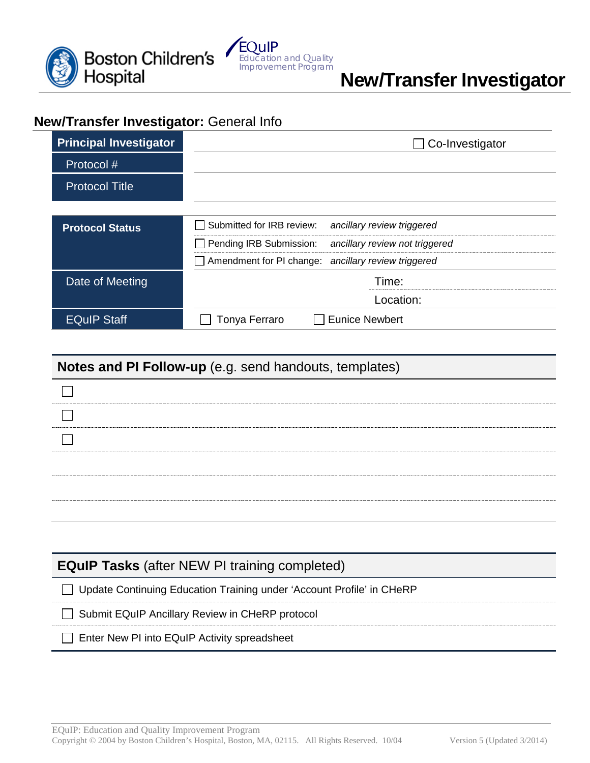



# **New/Transfer Investigator**

## **New/Transfer Investigator:** General Info

| <b>Principal Investigator</b> | Co-Investigator                                         |
|-------------------------------|---------------------------------------------------------|
| Protocol#                     |                                                         |
| <b>Protocol Title</b>         |                                                         |
|                               |                                                         |
| <b>Protocol Status</b>        | Submitted for IRB review:<br>ancillary review triggered |
|                               | Pending IRB Submission: ancillary review not triggered  |
|                               | Amendment for PI change: ancillary review triggered     |
| Date of Meeting               | Time:                                                   |
|                               | Location:                                               |
| <b>EQuIP Staff</b>            | <b>Eunice Newbert</b><br>Tonya Ferraro                  |

| Notes and PI Follow-up (e.g. send handouts, templates)                  |  |  |
|-------------------------------------------------------------------------|--|--|
|                                                                         |  |  |
|                                                                         |  |  |
|                                                                         |  |  |
|                                                                         |  |  |
|                                                                         |  |  |
|                                                                         |  |  |
|                                                                         |  |  |
| <b>EQuIP Tasks</b> (after NEW PI training completed)                    |  |  |
| □ Update Continuing Education Training under 'Account Profile' in CHeRP |  |  |
| Submit EQuIP Ancillary Review in CHeRP protocol                         |  |  |
| Enter New PI into EQuIP Activity spreadsheet                            |  |  |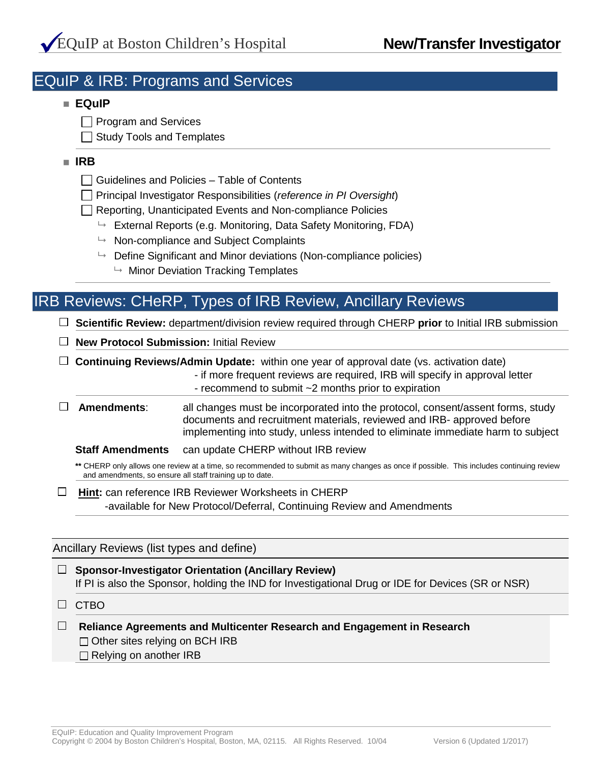## EQuIP & IRB: Programs and Services

### **EQuIP**

Program and Services

 $\Box$  Study Tools and Templates

### **IRB**

- $\Box$  Guidelines and Policies Table of Contents
- Principal Investigator Responsibilities (*reference in PI Oversight*)

Reporting, Unanticipated Events and Non-compliance Policies

- External Reports (e.g. Monitoring, Data Safety Monitoring, FDA)
- Non-compliance and Subject Complaints
- $\rightarrow$  Define Significant and Minor deviations (Non-compliance policies)
	- Minor Deviation Tracking Templates

## IRB Reviews: CHeRP, Types of IRB Review, Ancillary Reviews

**Scientific Review:** department/division review required through CHERP **prior** to Initial IRB submission

**New Protocol Submission:** Initial Review

**Continuing Reviews/Admin Update:** within one year of approval date (vs. activation date)

- if more frequent reviews are required, IRB will specify in approval letter - recommend to submit ~2 months prior to expiration

**Amendments**: all changes must be incorporated into the protocol, consent/assent forms, study documents and recruitment materials, reviewed and IRB- approved before implementing into study, unless intended to eliminate immediate harm to subject

**Staff Amendments** can update CHERP without IRB review

**\*\*** CHERP only allows one review at a time, so recommended to submit as many changes as once if possible. This includes continuing review and amendments, so ensure all staff training up to date.

**Hint:** can reference IRB Reviewer Worksheets in CHERP -available for New Protocol/Deferral, Continuing Review and Amendments

Ancillary Reviews (list types and define)

**Sponsor-Investigator Orientation (Ancillary Review)**  If PI is also the Sponsor, holding the IND for Investigational Drug or IDE for Devices (SR or NSR)

 $\Box$  CTBO

**Reliance Agreements and Multicenter Research and Engagement in Research**  $\Box$  Other sites relying on BCH IRB  $\Box$  Relying on another IRB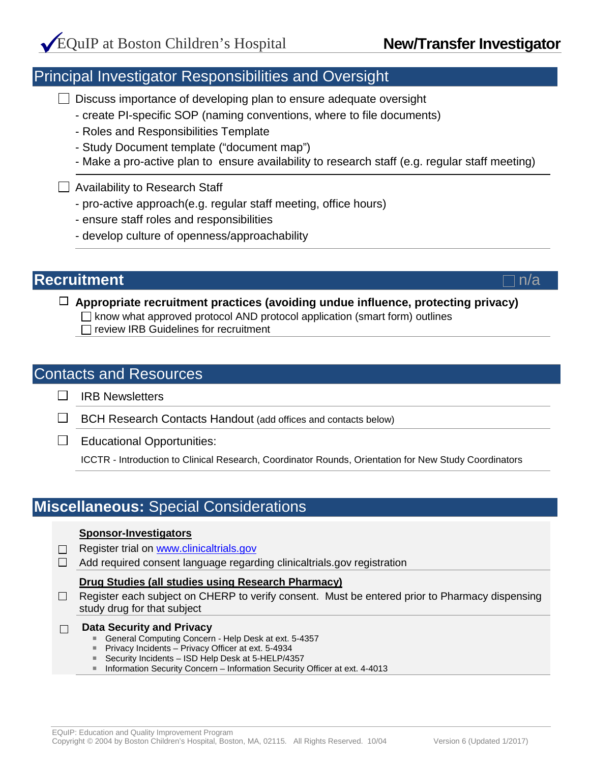## Principal Investigator Responsibilities and Oversight

 $\Box$  Discuss importance of developing plan to ensure adequate oversight

- create PI-specific SOP (naming conventions, where to file documents)
- Roles and Responsibilities Template
- Study Document template ("document map")
- Make a pro-active plan to ensure availability to research staff (e.g. regular staff meeting)

### $\Box$  Availability to Research Staff

- pro-active approach(e.g. regular staff meeting, office hours)
- ensure staff roles and responsibilities
- develop culture of openness/approachability

### **Recruitment**  $\Box$ n/a

**Appropriate recruitment practices (avoiding undue influence, protecting privacy)**  $\Box$  know what approved protocol AND protocol application (smart form) outlines  $\Box$  review IRB Guidelines for recruitment

### Contacts and Resources

 $\Box$ IRB Newsletters

 $\Box$  BCH Research Contacts Handout (add offices and contacts below)

 $\Box$  Educational Opportunities:

ICCTR - Introduction to Clinical Research, Coordinator Rounds, Orientation for New Study Coordinators

## **Miscellaneous:** Special Considerations

#### **Sponsor-Investigators**

- $\Box$  Register trial on [www.clinicaltrials.gov](http://www.clinicaltrials.gov/)
- $\Box$  Add required consent language regarding clinicaltrials.gov registration

#### **Drug Studies (all studies using Research Pharmacy)**

 $\Box$  Register each subject on CHERP to verify consent. Must be entered prior to Pharmacy dispensing study drug for that subject

**Data Security and Privacy**   $\Box$ 

- General Computing Concern Help Desk at ext. 5-4357
- **Privacy Incidents Privacy Officer at ext. 5-4934**
- Security Incidents ISD Help Desk at 5-HELP/4357
- Information Security Concern Information Security Officer at ext. 4-4013